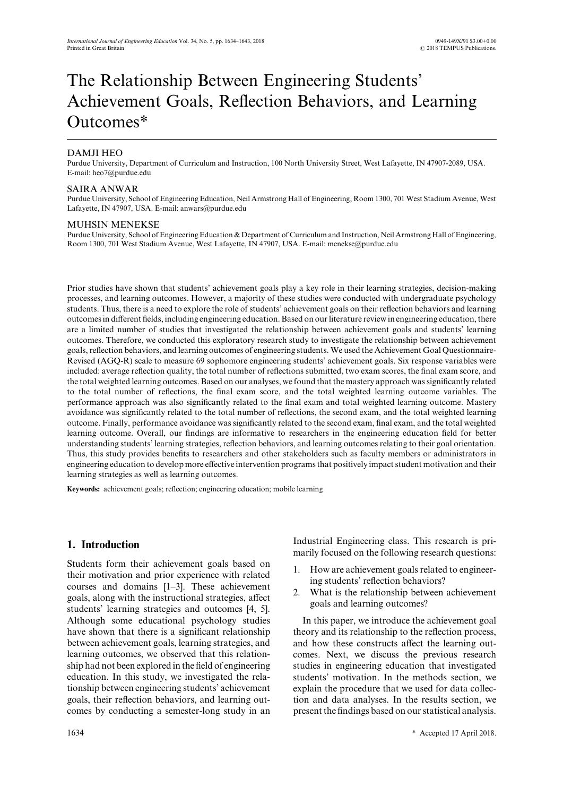# The Relationship Between Engineering Students' Achievement Goals, Reflection Behaviors, and Learning Outcomes\*

# DAMJI HEO

Purdue University, Department of Curriculum and Instruction, 100 North University Street, West Lafayette, IN 47907-2089, USA. E-mail: heo7@purdue.edu

### SAIRA ANWAR

Purdue University, School of Engineering Education, Neil Armstrong Hall of Engineering, Room 1300, 701 West Stadium Avenue, West Lafayette, IN 47907, USA. E-mail: anwars@purdue.edu

#### MUHSIN MENEKSE

Purdue University, School of Engineering Education & Department of Curriculum and Instruction, Neil Armstrong Hall of Engineering, Room 1300, 701 West Stadium Avenue, West Lafayette, IN 47907, USA. E-mail: menekse@purdue.edu

Prior studies have shown that students' achievement goals play a key role in their learning strategies, decision-making processes, and learning outcomes. However, a majority of these studies were conducted with undergraduate psychology students. Thus, there is a need to explore the role of students' achievement goals on their reflection behaviors and learning outcomes in different fields, including engineering education. Based on our literature review in engineering education, there are a limited number of studies that investigated the relationship between achievement goals and students' learning outcomes. Therefore, we conducted this exploratory research study to investigate the relationship between achievement goals, reflection behaviors, and learning outcomes of engineering students. We used the Achievement Goal Questionnaire-Revised (AGQ-R) scale to measure 69 sophomore engineering students' achievement goals. Six response variables were included: average reflection quality, the total number of reflections submitted, two exam scores, the final exam score, and the total weighted learning outcomes. Based on our analyses, we found that the mastery approach was significantly related to the total number of reflections, the final exam score, and the total weighted learning outcome variables. The performance approach was also significantly related to the final exam and total weighted learning outcome. Mastery avoidance was significantly related to the total number of reflections, the second exam, and the total weighted learning outcome. Finally, performance avoidance was significantly related to the second exam, final exam, and the total weighted learning outcome. Overall, our findings are informative to researchers in the engineering education field for better understanding students' learning strategies, reflection behaviors, and learning outcomes relating to their goal orientation. Thus, this study provides benefits to researchers and other stakeholders such as faculty members or administrators in engineering education to develop more effective intervention programs that positively impact student motivation and their learning strategies as well as learning outcomes.

**Keywords:** achievement goals; reflection; engineering education; mobile learning

# **1. Introduction**

Students form their achievement goals based on their motivation and prior experience with related courses and domains [1–3]. These achievement goals, along with the instructional strategies, affect students' learning strategies and outcomes [4, 5]. Although some educational psychology studies have shown that there is a significant relationship between achievement goals, learning strategies, and learning outcomes, we observed that this relationship had not been explored in the field of engineering education. In this study, we investigated the relationship between engineering students' achievement goals, their reflection behaviors, and learning outcomes by conducting a semester-long study in an Industrial Engineering class. This research is primarily focused on the following research questions:

- 1. How are achievement goals related to engineering students' reflection behaviors?
- 2. What is the relationship between achievement goals and learning outcomes?

In this paper, we introduce the achievement goal theory and its relationship to the reflection process, and how these constructs affect the learning outcomes. Next, we discuss the previous research studies in engineering education that investigated students' motivation. In the methods section, we explain the procedure that we used for data collection and data analyses. In the results section, we present the findings based on our statistical analysis.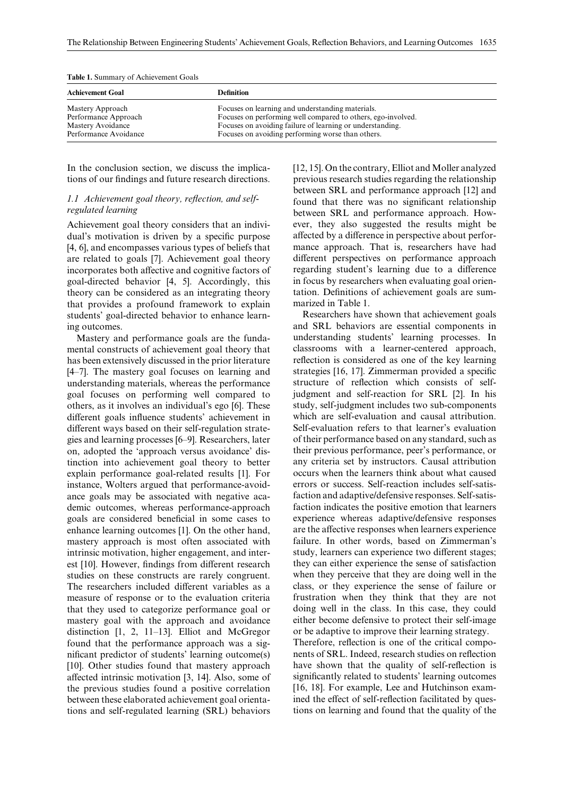| <b>Achievement Goal</b>                                                                | <b>Definition</b>                                                                                                                                                                                                                  |  |  |  |
|----------------------------------------------------------------------------------------|------------------------------------------------------------------------------------------------------------------------------------------------------------------------------------------------------------------------------------|--|--|--|
| Mastery Approach<br>Performance Approach<br>Mastery Avoidance<br>Performance Avoidance | Focuses on learning and understanding materials.<br>Focuses on performing well compared to others, ego-involved.<br>Focuses on avoiding failure of learning or understanding.<br>Focuses on avoiding performing worse than others. |  |  |  |

**Table 1.** Summary of Achievement Goals

In the conclusion section, we discuss the implications of our findings and future research directions.

### *1.1 Achievement goal theory, reflection, and selfregulated learning*

Achievement goal theory considers that an individual's motivation is driven by a specific purpose [4, 6], and encompasses various types of beliefs that are related to goals [7]. Achievement goal theory incorporates both affective and cognitive factors of goal-directed behavior [4, 5]. Accordingly, this theory can be considered as an integrating theory that provides a profound framework to explain students' goal-directed behavior to enhance learning outcomes.

Mastery and performance goals are the fundamental constructs of achievement goal theory that has been extensively discussed in the prior literature [4–7]. The mastery goal focuses on learning and understanding materials, whereas the performance goal focuses on performing well compared to others, as it involves an individual's ego [6]. These different goals influence students' achievement in different ways based on their self-regulation strategies and learning processes [6–9]. Researchers, later on, adopted the 'approach versus avoidance' distinction into achievement goal theory to better explain performance goal-related results [1]. For instance, Wolters argued that performance-avoidance goals may be associated with negative academic outcomes, whereas performance-approach goals are considered beneficial in some cases to enhance learning outcomes [1]. On the other hand, mastery approach is most often associated with intrinsic motivation, higher engagement, and interest [10]. However, findings from different research studies on these constructs are rarely congruent. The researchers included different variables as a measure of response or to the evaluation criteria that they used to categorize performance goal or mastery goal with the approach and avoidance distinction [1, 2, 11–13]. Elliot and McGregor found that the performance approach was a significant predictor of students' learning outcome(s) [10]. Other studies found that mastery approach affected intrinsic motivation [3, 14]. Also, some of the previous studies found a positive correlation between these elaborated achievement goal orientations and self-regulated learning (SRL) behaviors [12, 15]. On the contrary, Elliot and Moller analyzed previous research studies regarding the relationship between SRL and performance approach [12] and found that there was no significant relationship between SRL and performance approach. However, they also suggested the results might be affected by a difference in perspective about performance approach. That is, researchers have had different perspectives on performance approach regarding student's learning due to a difference in focus by researchers when evaluating goal orientation. Definitions of achievement goals are summarized in Table 1.

Researchers have shown that achievement goals and SRL behaviors are essential components in understanding students' learning processes. In classrooms with a learner-centered approach, reflection is considered as one of the key learning strategies [16, 17]. Zimmerman provided a specific structure of reflection which consists of selfjudgment and self-reaction for SRL [2]. In his study, self-judgment includes two sub-components which are self-evaluation and causal attribution. Self-evaluation refers to that learner's evaluation of their performance based on any standard, such as their previous performance, peer's performance, or any criteria set by instructors. Causal attribution occurs when the learners think about what caused errors or success. Self-reaction includes self-satisfaction and adaptive/defensive responses. Self-satisfaction indicates the positive emotion that learners experience whereas adaptive/defensive responses are the affective responses when learners experience failure. In other words, based on Zimmerman's study, learners can experience two different stages; they can either experience the sense of satisfaction when they perceive that they are doing well in the class, or they experience the sense of failure or frustration when they think that they are not doing well in the class. In this case, they could either become defensive to protect their self-image or be adaptive to improve their learning strategy.

Therefore, reflection is one of the critical components of SRL. Indeed, research studies on reflection have shown that the quality of self-reflection is significantly related to students' learning outcomes [16, 18]. For example, Lee and Hutchinson examined the effect of self-reflection facilitated by questions on learning and found that the quality of the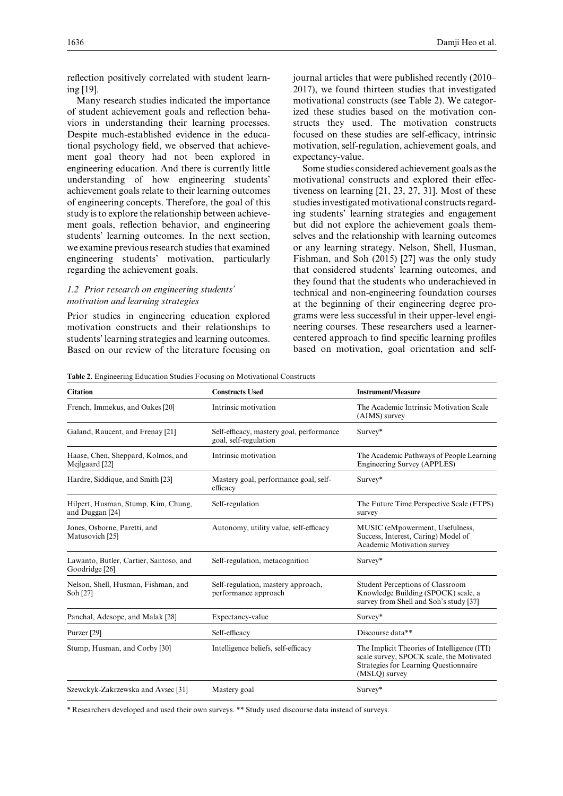reflection positively correlated with student learning [19].

Many research studies indicated the importance of student achievement goals and reflection behaviors in understanding their learning processes. Despite much-established evidence in the educational psychology field, we observed that achievement goal theory had not been explored in engineering education. And there is currently little understanding of how engineering students' achievement goals relate to their learning outcomes of engineering concepts. Therefore, the goal of this study is to explore the relationship between achievement goals, reflection behavior, and engineering students' learning outcomes. In the next section, we examine previous research studies that examined engineering students' motivation, particularly regarding the achievement goals.

### *1.2 Prior research on engineering students' motivation and learning strategies*

Prior studies in engineering education explored motivation constructs and their relationships to students' learning strategies and learning outcomes. Based on our review of the literature focusing on journal articles that were published recently (2010– 2017), we found thirteen studies that investigated motivational constructs (see Table 2). We categorized these studies based on the motivation constructs they used. The motivation constructs focused on these studies are self-efficacy, intrinsic motivation, self-regulation, achievement goals, and expectancy-value.

Some studies considered achievement goals as the motivational constructs and explored their effectiveness on learning [21, 23, 27, 31]. Most of these studies investigated motivational constructs regarding students' learning strategies and engagement but did not explore the achievement goals themselves and the relationship with learning outcomes or any learning strategy. Nelson, Shell, Husman, Fishman, and Soh (2015) [27] was the only study that considered students' learning outcomes, and they found that the students who underachieved in technical and non-engineering foundation courses at the beginning of their engineering degree programs were less successful in their upper-level engineering courses. These researchers used a learnercentered approach to find specific learning profiles based on motivation, goal orientation and self-

**Table 2.** Engineering Education Studies Focusing on Motivational Constructs

| <b>Citation</b>                                          | <b>Constructs Used</b>                                            | <b>Instrument/Measure</b>                                                                                                                         |  |
|----------------------------------------------------------|-------------------------------------------------------------------|---------------------------------------------------------------------------------------------------------------------------------------------------|--|
| French, Immekus, and Oakes [20]                          | Intrinsic motivation                                              | The Academic Intrinsic Motivation Scale<br>(AIMS) survey                                                                                          |  |
| Galand, Raucent, and Frenay [21]                         | Self-efficacy, mastery goal, performance<br>goal, self-regulation | Survey*                                                                                                                                           |  |
| Haase, Chen, Sheppard, Kolmos, and<br>Mejlgaard [22]     | Intrinsic motivation                                              | The Academic Pathways of People Learning<br>Engineering Survey (APPLES)                                                                           |  |
| Hardre, Siddique, and Smith [23]                         | Mastery goal, performance goal, self-<br>efficacy                 | Survey*                                                                                                                                           |  |
| Hilpert, Husman, Stump, Kim, Chung,<br>and Duggan [24]   | Self-regulation                                                   | The Future Time Perspective Scale (FTPS)<br>survey                                                                                                |  |
| Jones, Osborne, Paretti, and<br>Matusovich [25]          | Autonomy, utility value, self-efficacy                            | MUSIC (eMpowerment, Usefulness,<br>Success, Interest, Caring) Model of<br>Academic Motivation survey                                              |  |
| Lawanto, Butler, Cartier, Santoso, and<br>Goodridge [26] | Self-regulation, metacognition                                    | Survey*                                                                                                                                           |  |
| Nelson, Shell, Husman, Fishman, and<br>Soh [27]          | Self-regulation, mastery approach,<br>performance approach        | Student Perceptions of Classroom<br>Knowledge Building (SPOCK) scale, a<br>survey from Shell and Soh's study [37]                                 |  |
| Panchal, Adesope, and Malak [28]                         | Expectancy-value                                                  | Survey*                                                                                                                                           |  |
| Purzer [29]                                              | Self-efficacy                                                     | Discourse data**                                                                                                                                  |  |
| Stump, Husman, and Corby [30]                            | Intelligence beliefs, self-efficacy                               | The Implicit Theories of Intelligence (ITI)<br>scale survey, SPOCK scale, the Motivated<br>Strategies for Learning Questionnaire<br>(MSLO) survey |  |
| Szewckyk-Zakrzewska and Avsec [31]                       | Mastery goal                                                      | Survey*                                                                                                                                           |  |

\* Researchers developed and used their own surveys. \*\* Study used discourse data instead of surveys.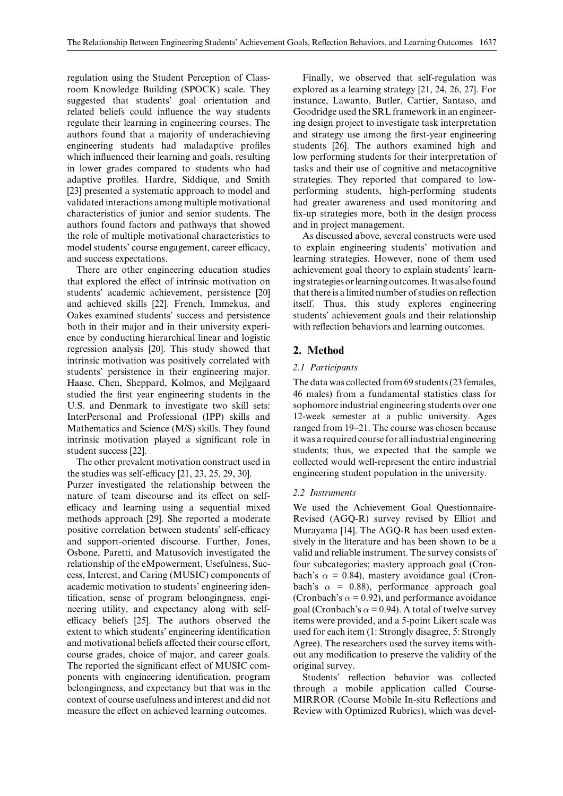regulation using the Student Perception of Classroom Knowledge Building (SPOCK) scale. They suggested that students' goal orientation and related beliefs could influence the way students regulate their learning in engineering courses. The authors found that a majority of underachieving engineering students had maladaptive profiles which influenced their learning and goals, resulting in lower grades compared to students who had adaptive profiles. Hardre, Siddique, and Smith [23] presented a systematic approach to model and validated interactions among multiple motivational characteristics of junior and senior students. The authors found factors and pathways that showed the role of multiple motivational characteristics to model students' course engagement, career efficacy, and success expectations.

There are other engineering education studies that explored the effect of intrinsic motivation on students' academic achievement, persistence [20] and achieved skills [22]. French, Immekus, and Oakes examined students' success and persistence both in their major and in their university experience by conducting hierarchical linear and logistic regression analysis [20]. This study showed that intrinsic motivation was positively correlated with students' persistence in their engineering major. Haase, Chen, Sheppard, Kolmos, and Mejlgaard studied the first year engineering students in the U.S. and Denmark to investigate two skill sets: InterPersonal and Professional (IPP) skills and Mathematics and Science (M/S) skills. They found intrinsic motivation played a significant role in student success [22].

The other prevalent motivation construct used in the studies was self-efficacy [21, 23, 25, 29, 30].

Purzer investigated the relationship between the nature of team discourse and its effect on selfefficacy and learning using a sequential mixed methods approach [29]. She reported a moderate positive correlation between students' self-efficacy and support-oriented discourse. Further, Jones, Osbone, Paretti, and Matusovich investigated the relationship of the eMpowerment, Usefulness, Success, Interest, and Caring (MUSIC) components of academic motivation to students' engineering identification, sense of program belongingness, engineering utility, and expectancy along with selfefficacy beliefs [25]. The authors observed the extent to which students' engineering identification and motivational beliefs affected their course effort, course grades, choice of major, and career goals. The reported the significant effect of MUSIC components with engineering identification, program belongingness, and expectancy but that was in the context of course usefulness and interest and did not measure the effect on achieved learning outcomes.

Finally, we observed that self-regulation was explored as a learning strategy [21, 24, 26, 27]. For instance, Lawanto, Butler, Cartier, Santaso, and Goodridge used the SRL framework in an engineering design project to investigate task interpretation and strategy use among the first-year engineering students [26]. The authors examined high and low performing students for their interpretation of tasks and their use of cognitive and metacognitive strategies. They reported that compared to lowperforming students, high-performing students had greater awareness and used monitoring and fix-up strategies more, both in the design process and in project management.

As discussed above, several constructs were used to explain engineering students' motivation and learning strategies. However, none of them used achievement goal theory to explain students' learning strategies orlearning outcomes. Itwas also found that there is a limited number of studies on reflection itself. Thus, this study explores engineering students' achievement goals and their relationship with reflection behaviors and learning outcomes.

# **2. Method**

## *2.1 Participants*

The data was collected from 69 students (23 females, 46 males) from a fundamental statistics class for sophomore industrial engineering students over one 12-week semester at a public university. Ages ranged from 19–21. The course was chosen because it was a required course for all industrial engineering students; thus, we expected that the sample we collected would well-represent the entire industrial engineering student population in the university.

## *2.2 Instruments*

We used the Achievement Goal Questionnaire-Revised (AGQ-R) survey revised by Elliot and Murayama [14]. The AGQ-R has been used extensively in the literature and has been shown to be a valid and reliable instrument. The survey consists of four subcategories; mastery approach goal (Cronbach's  $\alpha$  = 0.84), mastery avoidance goal (Cronbach's  $\alpha = 0.88$ ), performance approach goal (Cronbach's  $\alpha$  = 0.92), and performance avoidance goal (Cronbach's  $\alpha$  = 0.94). A total of twelve survey items were provided, and a 5-point Likert scale was used for each item (1: Strongly disagree, 5: Strongly Agree). The researchers used the survey items without any modification to preserve the validity of the original survey.

Students' reflection behavior was collected through a mobile application called Course-MIRROR (Course Mobile In-situ Reflections and Review with Optimized Rubrics), which was devel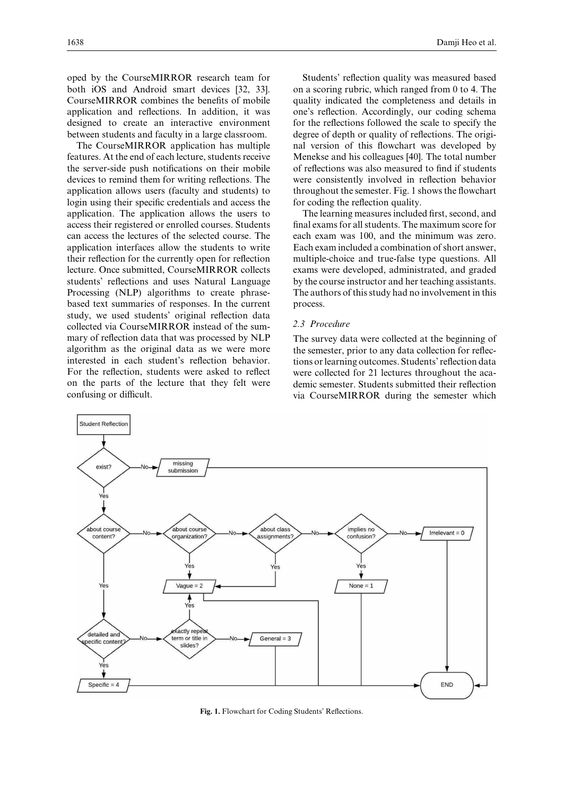oped by the CourseMIRROR research team for both iOS and Android smart devices [32, 33]. CourseMIRROR combines the benefits of mobile application and reflections. In addition, it was designed to create an interactive environment between students and faculty in a large classroom.

The CourseMIRROR application has multiple features. At the end of each lecture, students receive the server-side push notifications on their mobile devices to remind them for writing reflections. The application allows users (faculty and students) to login using their specific credentials and access the application. The application allows the users to access their registered or enrolled courses. Students can access the lectures of the selected course. The application interfaces allow the students to write their reflection for the currently open for reflection lecture. Once submitted, CourseMIRROR collects students' reflections and uses Natural Language Processing (NLP) algorithms to create phrasebased text summaries of responses. In the current study, we used students' original reflection data collected via CourseMIRROR instead of the summary of reflection data that was processed by NLP algorithm as the original data as we were more interested in each student's reflection behavior. For the reflection, students were asked to reflect on the parts of the lecture that they felt were confusing or difficult.

Students' reflection quality was measured based on a scoring rubric, which ranged from 0 to 4. The quality indicated the completeness and details in one's reflection. Accordingly, our coding schema for the reflections followed the scale to specify the degree of depth or quality of reflections. The original version of this flowchart was developed by Menekse and his colleagues [40]. The total number of reflections was also measured to find if students were consistently involved in reflection behavior throughout the semester. Fig. 1 shows the flowchart for coding the reflection quality.

The learning measures included first, second, and final exams for all students. The maximum score for each exam was 100, and the minimum was zero. Each exam included a combination of short answer, multiple-choice and true-false type questions. All exams were developed, administrated, and graded by the course instructor and her teaching assistants. The authors of this study had no involvement in this process.

#### *2.3 Procedure*

The survey data were collected at the beginning of the semester, prior to any data collection for reflections or learning outcomes. Students' reflection data were collected for 21 lectures throughout the academic semester. Students submitted their reflection via CourseMIRROR during the semester which



**Fig. 1.** Flowchart for Coding Students' Reflections.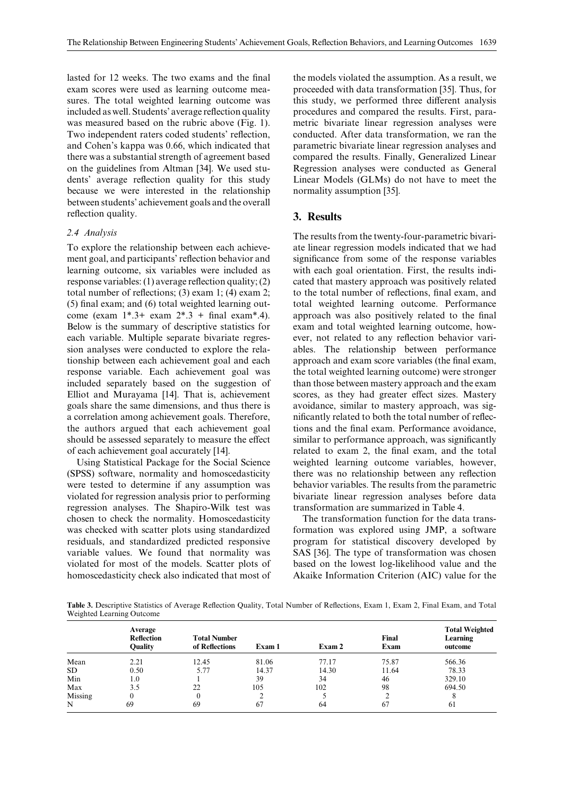lasted for 12 weeks. The two exams and the final exam scores were used as learning outcome measures. The total weighted learning outcome was included as well. Students' average reflection quality was measured based on the rubric above (Fig. 1). Two independent raters coded students' reflection, and Cohen's kappa was 0.66, which indicated that there was a substantial strength of agreement based on the guidelines from Altman [34]. We used students' average reflection quality for this study because we were interested in the relationship between students' achievement goals and the overall reflection quality.

#### *2.4 Analysis*

To explore the relationship between each achievement goal, and participants' reflection behavior and learning outcome, six variables were included as response variables: (1) average reflection quality; (2) total number of reflections; (3) exam 1; (4) exam 2; (5) final exam; and (6) total weighted learning outcome (exam  $1^*$ .3+ exam  $2^*$ .3 + final exam<sup>\*</sup>.4). Below is the summary of descriptive statistics for each variable. Multiple separate bivariate regression analyses were conducted to explore the relationship between each achievement goal and each response variable. Each achievement goal was included separately based on the suggestion of Elliot and Murayama [14]. That is, achievement goals share the same dimensions, and thus there is a correlation among achievement goals. Therefore, the authors argued that each achievement goal should be assessed separately to measure the effect of each achievement goal accurately [14].

Using Statistical Package for the Social Science (SPSS) software, normality and homoscedasticity were tested to determine if any assumption was violated for regression analysis prior to performing regression analyses. The Shapiro-Wilk test was chosen to check the normality. Homoscedasticity was checked with scatter plots using standardized residuals, and standardized predicted responsive variable values. We found that normality was violated for most of the models. Scatter plots of homoscedasticity check also indicated that most of the models violated the assumption. As a result, we proceeded with data transformation [35]. Thus, for this study, we performed three different analysis procedures and compared the results. First, parametric bivariate linear regression analyses were conducted. After data transformation, we ran the parametric bivariate linear regression analyses and compared the results. Finally, Generalized Linear Regression analyses were conducted as General Linear Models (GLMs) do not have to meet the normality assumption [35].

## **3. Results**

The results from the twenty-four-parametric bivariate linear regression models indicated that we had significance from some of the response variables with each goal orientation. First, the results indicated that mastery approach was positively related to the total number of reflections, final exam, and total weighted learning outcome. Performance approach was also positively related to the final exam and total weighted learning outcome, however, not related to any reflection behavior variables. The relationship between performance approach and exam score variables (the final exam, the total weighted learning outcome) were stronger than those between mastery approach and the exam scores, as they had greater effect sizes. Mastery avoidance, similar to mastery approach, was significantly related to both the total number of reflections and the final exam. Performance avoidance, similar to performance approach, was significantly related to exam 2, the final exam, and the total weighted learning outcome variables, however, there was no relationship between any reflection behavior variables. The results from the parametric bivariate linear regression analyses before data transformation are summarized in Table 4.

The transformation function for the data transformation was explored using JMP, a software program for statistical discovery developed by SAS [36]. The type of transformation was chosen based on the lowest log-likelihood value and the Akaike Information Criterion (AIC) value for the

**Table 3.** Descriptive Statistics of Average Reflection Quality, Total Number of Reflections, Exam 1, Exam 2, Final Exam, and Total Weighted Learning Outcome

|         | Average<br><b>Reflection</b><br><b>Ouality</b> | <b>Total Number</b><br>of Reflections | Exam 1 | Exam 2 | Final<br>Exam | <b>Total Weighted</b><br>Learning<br>outcome |
|---------|------------------------------------------------|---------------------------------------|--------|--------|---------------|----------------------------------------------|
| Mean    | 2.21                                           | 12.45                                 | 81.06  | 77.17  | 75.87         | 566.36                                       |
| SD.     | 0.50                                           | 5.77                                  | 14.37  | 14.30  | 11.64         | 78.33                                        |
| Min     | 1.0                                            |                                       | 39     | 34     | 46            | 329.10                                       |
| Max     | 3.5                                            | 22                                    | 105    | 102    | 98            | 694.50                                       |
| Missing |                                                |                                       |        |        |               |                                              |
| N       | 69                                             | 69                                    | 67     | 64     | 67            | 61                                           |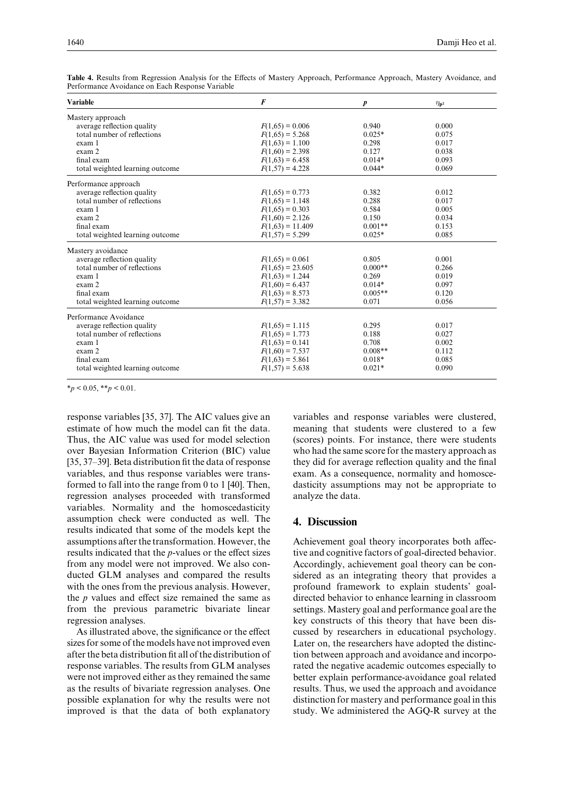| <b>Variable</b>                 | F                  | $\boldsymbol{p}$ | $\eta_{\bf p^2}$ |
|---------------------------------|--------------------|------------------|------------------|
| Mastery approach                |                    |                  |                  |
| average reflection quality      | $F(1,65) = 0.006$  | 0.940            | 0.000            |
| total number of reflections     | $F(1,65) = 5.268$  | $0.025*$         | 0.075            |
| exam 1                          | $F(1,63) = 1.100$  | 0.298            | 0.017            |
| exam 2                          | $F(1,60) = 2.398$  | 0.127            | 0.038            |
| final exam                      | $F(1,63) = 6.458$  | $0.014*$         | 0.093            |
| total weighted learning outcome | $F(1.57) = 4.228$  | $0.044*$         | 0.069            |
| Performance approach            |                    |                  |                  |
| average reflection quality      | $F(1,65) = 0.773$  | 0.382            | 0.012            |
| total number of reflections     | $F(1,65) = 1.148$  | 0.288            | 0.017            |
| exam 1                          | $F(1,65) = 0.303$  | 0.584            | 0.005            |
| exam 2                          | $F(1,60) = 2.126$  | 0.150            | 0.034            |
| final exam                      | $F(1,63) = 11.409$ | $0.001**$        | 0.153            |
| total weighted learning outcome | $F(1,57) = 5.299$  | $0.025*$         | 0.085            |
| Mastery avoidance               |                    |                  |                  |
| average reflection quality      | $F(1,65) = 0.061$  | 0.805            | 0.001            |
| total number of reflections     | $F(1,65) = 23.605$ | $0.000**$        | 0.266            |
| exam 1                          | $F(1,63) = 1.244$  | 0.269            | 0.019            |
| exam 2                          | $F(1,60) = 6.437$  | $0.014*$         | 0.097            |
| final exam                      | $F(1,63) = 8.573$  | $0.005**$        | 0.120            |
| total weighted learning outcome | $F(1,57) = 3.382$  | 0.071            | 0.056            |
| Performance Avoidance           |                    |                  |                  |
| average reflection quality      | $F(1,65) = 1.115$  | 0.295            | 0.017            |
| total number of reflections     | $F(1,65) = 1.773$  | 0.188            | 0.027            |
| exam 1                          | $F(1,63) = 0.141$  | 0.708            | 0.002            |
| exam 2                          | $F(1,60) = 7.537$  | $0.008**$        | 0.112            |
| final exam                      | $F(1,63) = 5.861$  | $0.018*$         | 0.085            |
| total weighted learning outcome | $F(1,57) = 5.638$  | $0.021*$         | 0.090            |
|                                 |                    |                  |                  |

**Table 4.** Results from Regression Analysis for the Effects of Mastery Approach, Performance Approach, Mastery Avoidance, and Performance Avoidance on Each Response Variable

 $*_{p}$  < 0.05, \*\**p* < 0.01.

response variables [35, 37]. The AIC values give an estimate of how much the model can fit the data. Thus, the AIC value was used for model selection over Bayesian Information Criterion (BIC) value [35, 37–39]. Beta distribution fit the data of response variables, and thus response variables were transformed to fall into the range from 0 to 1 [40]. Then, regression analyses proceeded with transformed variables. Normality and the homoscedasticity assumption check were conducted as well. The results indicated that some of the models kept the assumptions after the transformation. However, the results indicated that the *p*-values or the effect sizes from any model were not improved. We also conducted GLM analyses and compared the results with the ones from the previous analysis. However, the *p* values and effect size remained the same as from the previous parametric bivariate linear regression analyses.

As illustrated above, the significance or the effect sizes for some of the models have not improved even after the beta distribution fit all of the distribution of response variables. The results from GLM analyses were not improved either as they remained the same as the results of bivariate regression analyses. One possible explanation for why the results were not improved is that the data of both explanatory variables and response variables were clustered, meaning that students were clustered to a few (scores) points. For instance, there were students who had the same score for the mastery approach as they did for average reflection quality and the final exam. As a consequence, normality and homoscedasticity assumptions may not be appropriate to analyze the data.

#### **4. Discussion**

Achievement goal theory incorporates both affective and cognitive factors of goal-directed behavior. Accordingly, achievement goal theory can be considered as an integrating theory that provides a profound framework to explain students' goaldirected behavior to enhance learning in classroom settings. Mastery goal and performance goal are the key constructs of this theory that have been discussed by researchers in educational psychology. Later on, the researchers have adopted the distinction between approach and avoidance and incorporated the negative academic outcomes especially to better explain performance-avoidance goal related results. Thus, we used the approach and avoidance distinction for mastery and performance goal in this study. We administered the AGQ-R survey at the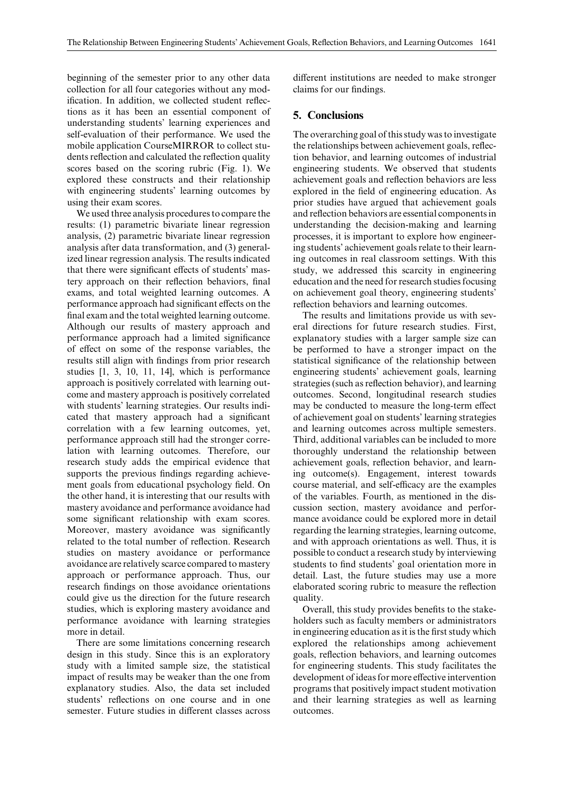beginning of the semester prior to any other data collection for all four categories without any modification. In addition, we collected student reflections as it has been an essential component of understanding students' learning experiences and self-evaluation of their performance. We used the mobile application CourseMIRROR to collect students reflection and calculated the reflection quality scores based on the scoring rubric (Fig. 1). We explored these constructs and their relationship with engineering students' learning outcomes by using their exam scores.

We used three analysis procedures to compare the results: (1) parametric bivariate linear regression analysis, (2) parametric bivariate linear regression analysis after data transformation, and (3) generalized linear regression analysis. The results indicated that there were significant effects of students' mastery approach on their reflection behaviors, final exams, and total weighted learning outcomes. A performance approach had significant effects on the final exam and the total weighted learning outcome. Although our results of mastery approach and performance approach had a limited significance of effect on some of the response variables, the results still align with findings from prior research studies [1, 3, 10, 11, 14], which is performance approach is positively correlated with learning outcome and mastery approach is positively correlated with students' learning strategies. Our results indicated that mastery approach had a significant correlation with a few learning outcomes, yet, performance approach still had the stronger correlation with learning outcomes. Therefore, our research study adds the empirical evidence that supports the previous findings regarding achievement goals from educational psychology field. On the other hand, it is interesting that our results with mastery avoidance and performance avoidance had some significant relationship with exam scores. Moreover, mastery avoidance was significantly related to the total number of reflection. Research studies on mastery avoidance or performance avoidance are relatively scarce compared to mastery approach or performance approach. Thus, our research findings on those avoidance orientations could give us the direction for the future research studies, which is exploring mastery avoidance and performance avoidance with learning strategies more in detail.

There are some limitations concerning research design in this study. Since this is an exploratory study with a limited sample size, the statistical impact of results may be weaker than the one from explanatory studies. Also, the data set included students' reflections on one course and in one semester. Future studies in different classes across different institutions are needed to make stronger claims for our findings.

## **5. Conclusions**

The overarching goal of this study was to investigate the relationships between achievement goals, reflection behavior, and learning outcomes of industrial engineering students. We observed that students achievement goals and reflection behaviors are less explored in the field of engineering education. As prior studies have argued that achievement goals and reflection behaviors are essential components in understanding the decision-making and learning processes, it is important to explore how engineering students' achievement goals relate to their learning outcomes in real classroom settings. With this study, we addressed this scarcity in engineering education and the need for research studies focusing on achievement goal theory, engineering students' reflection behaviors and learning outcomes.

The results and limitations provide us with several directions for future research studies. First, explanatory studies with a larger sample size can be performed to have a stronger impact on the statistical significance of the relationship between engineering students' achievement goals, learning strategies (such as reflection behavior), and learning outcomes. Second, longitudinal research studies may be conducted to measure the long-term effect of achievement goal on students' learning strategies and learning outcomes across multiple semesters. Third, additional variables can be included to more thoroughly understand the relationship between achievement goals, reflection behavior, and learning outcome(s). Engagement, interest towards course material, and self-efficacy are the examples of the variables. Fourth, as mentioned in the discussion section, mastery avoidance and performance avoidance could be explored more in detail regarding the learning strategies, learning outcome, and with approach orientations as well. Thus, it is possible to conduct a research study by interviewing students to find students' goal orientation more in detail. Last, the future studies may use a more elaborated scoring rubric to measure the reflection quality.

Overall, this study provides benefits to the stakeholders such as faculty members or administrators in engineering education as it is the first study which explored the relationships among achievement goals, reflection behaviors, and learning outcomes for engineering students. This study facilitates the development of ideas for more effective intervention programs that positively impact student motivation and their learning strategies as well as learning outcomes.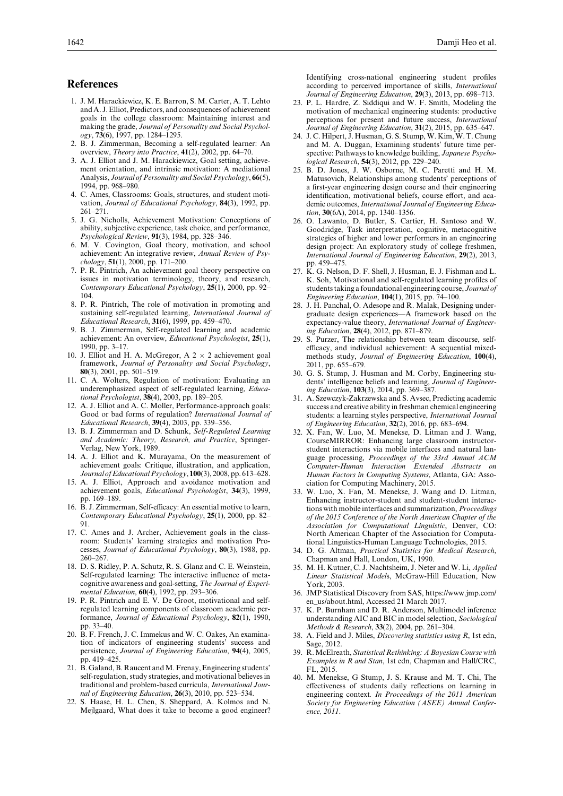#### **References**

- 1. J. M. Harackiewicz, K. E. Barron, S. M. Carter, A. T. Lehto and A. J. Elliot, Predictors, and consequences of achievement goals in the college classroom: Maintaining interest and making the grade, *Journal of Personality and Social Psychology*, **73**(6), 1997, pp. 1284–1295.
- 2. B. J. Zimmerman, Becoming a self-regulated learner: An overview, *Theory into Practice*, **41**(2), 2002, pp. 64–70.
- 3. A. J. Elliot and J. M. Harackiewicz, Goal setting, achievement orientation, and intrinsic motivation: A mediational Analysis, *Journal of Personality and Social Psychology*, **66**(5), 1994, pp. 968–980.
- 4. C. Ames, Classrooms: Goals, structures, and student motivation, *Journal of Educational Psychology*, **84**(3), 1992, pp. 261–271.
- 5. J. G. Nicholls, Achievement Motivation: Conceptions of ability, subjective experience, task choice, and performance, *Psychological Review*, **91**(3), 1984, pp. 328–346.
- 6. M. V. Covington, Goal theory, motivation, and school achievement: An integrative review, *Annual Review of Psychology*, **51**(1), 2000, pp. 171–200.
- 7. P. R. Pintrich, An achievement goal theory perspective on issues in motivation terminology, theory, and research, *Contemporary Educational Psychology*, **25**(1), 2000, pp. 92– 104.
- 8. P. R. Pintrich, The role of motivation in promoting and sustaining self-regulated learning, *International Journal of Educational Research*, **31**(6), 1999, pp. 459–470.
- 9. B. J. Zimmerman, Self-regulated learning and academic achievement: An overview, *Educational Psychologist*, **25**(1), 1990, pp. 3–17.
- 10. J. Elliot and H. A. McGregor, A  $2 \times 2$  achievement goal framework, *Journal of Personality and Social Psychology*, **80**(3), 2001, pp. 501–519.
- 11. C. A. Wolters, Regulation of motivation: Evaluating an underemphasized aspect of self-regulated learning, *Educational Psychologist*, **38**(4), 2003, pp. 189–205.
- 12. A. J. Elliot and A. C. Moller, Performance-approach goals: Good or bad forms of regulation? *International Journal of Educational Research*, **39**(4), 2003, pp. 339–356.
- 13. B. J. Zimmerman and D. Schunk, *Self-Regulated Learning and Academic: Theory, Research, and Practice*, Springer-Verlag, New York, 1989.
- 14. A. J. Elliot and K. Murayama, On the measurement of achievement goals: Critique, illustration, and application, *Journal of Educational Psychology*, **100**(3), 2008, pp. 613–628.
- 15. A. J. Elliot, Approach and avoidance motivation and achievement goals, *Educational Psychologist*, **34**(3), 1999, pp. 169–189.
- 16. B. J. Zimmerman, Self-efficacy: An essential motive to learn, *Contemporary Educational Psychology*, **25**(1), 2000, pp. 82– 91.
- 17. C. Ames and J. Archer, Achievement goals in the classroom: Students' learning strategies and motivation Processes, *Journal of Educational Psychology*, **80**(3), 1988, pp. 260–267.
- 18. D. S. Ridley, P. A. Schutz, R. S. Glanz and C. E. Weinstein, Self-regulated learning: The interactive influence of metacognitive awareness and goal-setting, *The Journal of Experimental Education*, **60**(4), 1992, pp. 293–306.
- 19. P. R. Pintrich and E. V. De Groot, motivational and selfregulated learning components of classroom academic performance, *Journal of Educational Psychology*, **82**(1), 1990, pp. 33–40.
- 20. B. F. French, J. C. Immekus and W. C. Oakes, An examination of indicators of engineering students' success and persistence, *Journal of Engineering Education*, **94**(4), 2005, pp. 419–425.
- 21. B. Galand, B. Raucent and M. Frenay, Engineering students' self-regulation, study strategies, and motivational believes in traditional and problem-based curricula, *International Journal of Engineering Education*, **26**(3), 2010, pp. 523–534.
- 22. S. Haase, H. L. Chen, S. Sheppard, A. Kolmos and N. Mejlgaard, What does it take to become a good engineer?

Identifying cross-national engineering student profiles according to perceived importance of skills, *International Journal of Engineering Education*, **29**(3), 2013, pp. 698–713.

- 23. P. L. Hardre, Z. Siddiqui and W. F. Smith, Modeling the motivation of mechanical engineering students: productive perceptions for present and future success, *International Journal of Engineering Education*, **31**(2), 2015, pp. 635–647.
- 24. J. C. Hilpert, J. Husman, G. S. Stump, W. Kim, W. T. Chung and M. A. Duggan, Examining students' future time perspective: Pathways to knowledge building, *Japanese Psychological Research*, **54**(3), 2012, pp. 229–240.
- 25. B. D. Jones, J. W. Osborne, M. C. Paretti and H. M. Matusovich, Relationships among students' perceptions of a first-year engineering design course and their engineering identification, motivational beliefs, course effort, and academic outcomes, *International Journal of Engineering Education*, **30**(6A), 2014, pp. 1340–1356.
- 26. O. Lawanto, D. Butler, S. Cartier, H. Santoso and W. Goodridge, Task interpretation, cognitive, metacognitive strategies of higher and lower performers in an engineering design project: An exploratory study of college freshmen, *International Journal of Engineering Education*, **29**(2), 2013, pp. 459–475.
- 27. K. G. Nelson, D. F. Shell, J. Husman, E. J. Fishman and L. K. Soh, Motivational and self-regulated learning profiles of students taking a foundational engineering course, *Journal of Engineering Education*, **104**(1), 2015, pp. 74–100.
- 28. J. H. Panchal, O. Adesope and R. Malak, Designing undergraduate design experiences—A framework based on the expectancy-value theory, *International Journal of Engineering Education*, **28**(4), 2012, pp. 871–879.
- 29. S. Purzer, The relationship between team discourse, selfefficacy, and individual achievement: A sequential mixedmethods study, *Journal of Engineering Education*, **100**(4), 2011, pp. 655–679.
- 30. G. S. Stump, J. Husman and M. Corby, Engineering students' intelligence beliefs and learning, *Journal of Engineering Education*, **103**(3), 2014, pp. 369–387.
- 31. A. Szewczyk-Zakrzewska and S. Avsec, Predicting academic success and creative ability in freshman chemical engineering students: a learning styles perspective, *International Journal of Engineering Education*, **32**(2), 2016, pp. 683–694.
- 32. X. Fan, W. Luo, M. Menekse, D. Litman and J. Wang, CourseMIRROR: Enhancing large classroom instructorstudent interactions via mobile interfaces and natural language processing, *Proceedings of the 33rd Annual ACM Computer-Human Interaction Extended Abstracts on Human Factors in Computing Systems*, Atlanta, GA: Association for Computing Machinery, 2015.
- 33. W. Luo, X. Fan, M. Menekse, J. Wang and D. Litman, Enhancing instructor-student and student-student interactions with mobile interfaces and summarization, *Proceedings of the 2015 Conference of the North American Chapter of the Association for Computational Linguistic*, Denver, CO: North American Chapter of the Association for Computational Linguistics-Human Language Technologies, 2015.
- 34. D. G. Altman, *Practical Statistics for Medical Research*, Chapman and Hall, London, UK, 1990.
- 35. M. H. Kutner, C. J. Nachtsheim, J. Neter and W. Li, *Applied Linear Statistical Model*s, McGraw-Hill Education, New York, 2003.
- 36. JMP Statistical Discovery from SAS, https://www.jmp.com/ en\_us/about.html, Accessed 21 March 2017.
- 37. K. P. Burnham and D. R. Anderson, Multimodel inference understanding AIC and BIC in model selection, *Sociological Methods & Research*, **33**(2), 2004, pp. 261–304.
- 38. A. Field and J. Miles, *Discovering statistics using R*, 1st edn, Sage, 2012.
- 39. R.McElreath,*Statistical Rethinking: A Bayesian Course with Examples in R and Stan*, 1st edn, Chapman and Hall/CRC, FL, 2015.
- 40. M. Menekse, G Stump, J. S. Krause and M. T. Chi, The effectiveness of students daily reflections on learning in engineering context*. In Proceedings of the 2011 American Society for Engineering Education (ASEE) Annual Conference, 2011*.